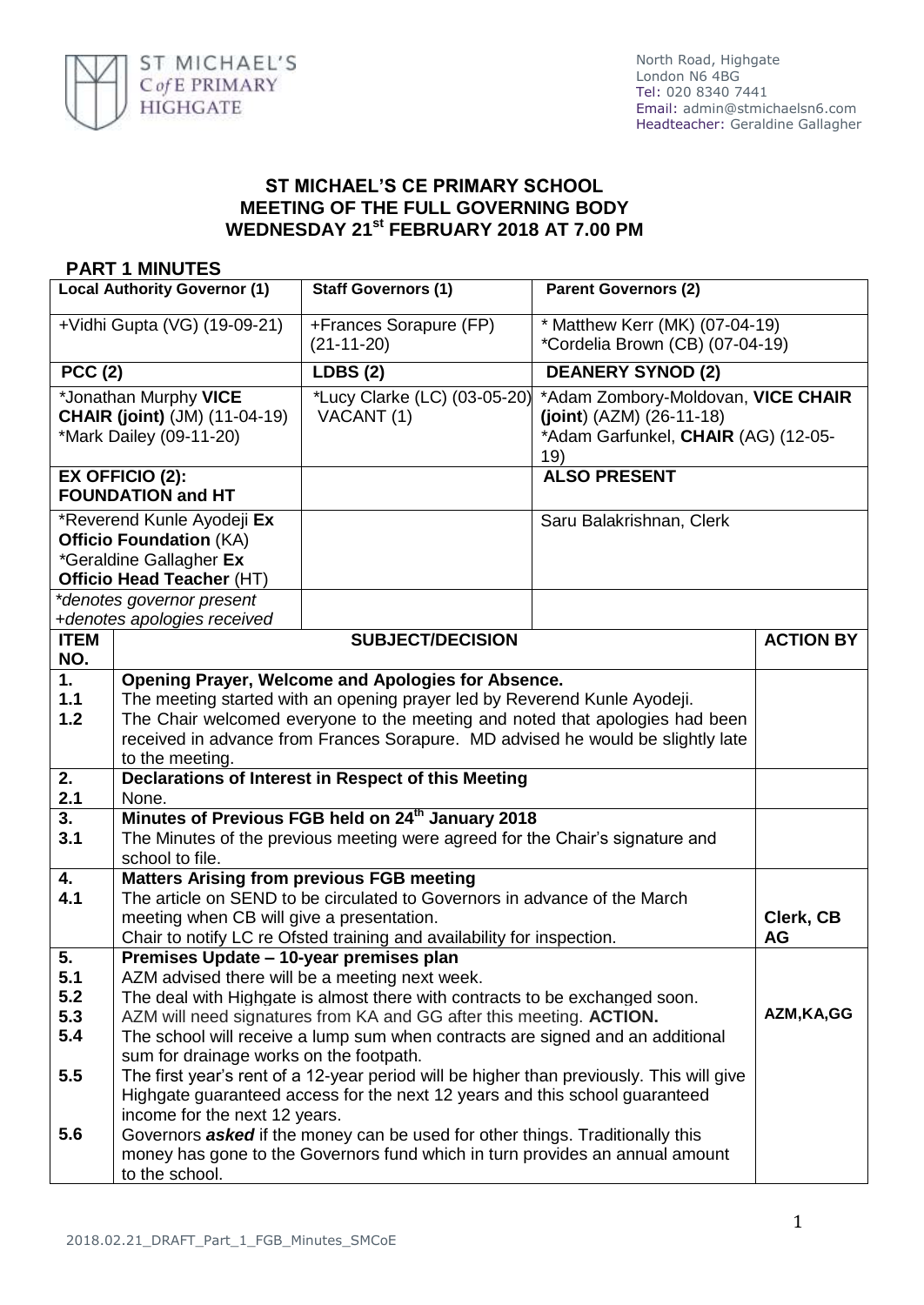

## **ST MICHAEL'S CE PRIMARY SCHOOL MEETING OF THE FULL GOVERNING BODY WEDNESDAY 21st FEBRUARY 2018 AT 7.00 PM**

## **PART 1 MINUTES**

| <b>Local Authority Governor (1)</b>                                                                                                               |                                                                                                                                                                                                                                                                                                                                                                                                                                                                                                                                                                                                                                                                                                 | <b>Staff Governors (1)</b>                 | <b>Parent Governors (2)</b>                                                                                    |                        |
|---------------------------------------------------------------------------------------------------------------------------------------------------|-------------------------------------------------------------------------------------------------------------------------------------------------------------------------------------------------------------------------------------------------------------------------------------------------------------------------------------------------------------------------------------------------------------------------------------------------------------------------------------------------------------------------------------------------------------------------------------------------------------------------------------------------------------------------------------------------|--------------------------------------------|----------------------------------------------------------------------------------------------------------------|------------------------|
| +Vidhi Gupta (VG) (19-09-21)                                                                                                                      |                                                                                                                                                                                                                                                                                                                                                                                                                                                                                                                                                                                                                                                                                                 | +Frances Sorapure (FP)<br>$(21-11-20)$     | * Matthew Kerr (MK) (07-04-19)<br>*Cordelia Brown (CB) (07-04-19)                                              |                        |
| <b>PCC (2)</b>                                                                                                                                    |                                                                                                                                                                                                                                                                                                                                                                                                                                                                                                                                                                                                                                                                                                 | <b>LDBS (2)</b>                            | <b>DEANERY SYNOD (2)</b>                                                                                       |                        |
| *Jonathan Murphy VICE<br><b>CHAIR (joint)</b> (JM) (11-04-19)<br>*Mark Dailey (09-11-20)                                                          |                                                                                                                                                                                                                                                                                                                                                                                                                                                                                                                                                                                                                                                                                                 | *Lucy Clarke (LC) (03-05-20)<br>VACANT (1) | *Adam Zombory-Moldovan, VICE CHAIR<br>$(joint) (AZM) (26-11-18)$<br>*Adam Garfunkel, CHAIR (AG) (12-05-<br>19) |                        |
| <b>EX OFFICIO (2):</b><br><b>FOUNDATION and HT</b>                                                                                                |                                                                                                                                                                                                                                                                                                                                                                                                                                                                                                                                                                                                                                                                                                 |                                            | <b>ALSO PRESENT</b>                                                                                            |                        |
| *Reverend Kunle Ayodeji Ex<br><b>Officio Foundation (KA)</b><br>*Geraldine Gallagher Ex<br>Officio Head Teacher (HT)<br>*denotes governor present |                                                                                                                                                                                                                                                                                                                                                                                                                                                                                                                                                                                                                                                                                                 |                                            | Saru Balakrishnan, Clerk                                                                                       |                        |
|                                                                                                                                                   | +denotes apologies received                                                                                                                                                                                                                                                                                                                                                                                                                                                                                                                                                                                                                                                                     |                                            |                                                                                                                |                        |
| <b>ITEM</b><br>NO.                                                                                                                                |                                                                                                                                                                                                                                                                                                                                                                                                                                                                                                                                                                                                                                                                                                 | <b>SUBJECT/DECISION</b>                    | <b>ACTION BY</b>                                                                                               |                        |
| 1.<br>1.1<br>1.2                                                                                                                                  | Opening Prayer, Welcome and Apologies for Absence.<br>The meeting started with an opening prayer led by Reverend Kunle Ayodeji.<br>The Chair welcomed everyone to the meeting and noted that apologies had been<br>received in advance from Frances Sorapure. MD advised he would be slightly late<br>to the meeting.                                                                                                                                                                                                                                                                                                                                                                           |                                            |                                                                                                                |                        |
| 2.<br>2.1                                                                                                                                         | Declarations of Interest in Respect of this Meeting<br>None.                                                                                                                                                                                                                                                                                                                                                                                                                                                                                                                                                                                                                                    |                                            |                                                                                                                |                        |
| 3.<br>3.1                                                                                                                                         | Minutes of Previous FGB held on 24 <sup>th</sup> January 2018<br>The Minutes of the previous meeting were agreed for the Chair's signature and<br>school to file.                                                                                                                                                                                                                                                                                                                                                                                                                                                                                                                               |                                            |                                                                                                                |                        |
| 4.<br>4.1                                                                                                                                         | <b>Matters Arising from previous FGB meeting</b><br>The article on SEND to be circulated to Governors in advance of the March<br>meeting when CB will give a presentation.<br>Chair to notify LC re Ofsted training and availability for inspection.                                                                                                                                                                                                                                                                                                                                                                                                                                            |                                            |                                                                                                                | Clerk, CB<br><b>AG</b> |
| 5.<br>5.1<br>5.2<br>5.3<br>5.4<br>5.5<br>5.6                                                                                                      | Premises Update - 10-year premises plan<br>AZM advised there will be a meeting next week.<br>The deal with Highgate is almost there with contracts to be exchanged soon.<br>AZM, KA, GG<br>AZM will need signatures from KA and GG after this meeting. ACTION.<br>The school will receive a lump sum when contracts are signed and an additional<br>sum for drainage works on the footpath.<br>The first year's rent of a 12-year period will be higher than previously. This will give<br>Highgate guaranteed access for the next 12 years and this school guaranteed<br>income for the next 12 years.<br>Governors <b>asked</b> if the money can be used for other things. Traditionally this |                                            |                                                                                                                |                        |
|                                                                                                                                                   | money has gone to the Governors fund which in turn provides an annual amount<br>to the school.                                                                                                                                                                                                                                                                                                                                                                                                                                                                                                                                                                                                  |                                            |                                                                                                                |                        |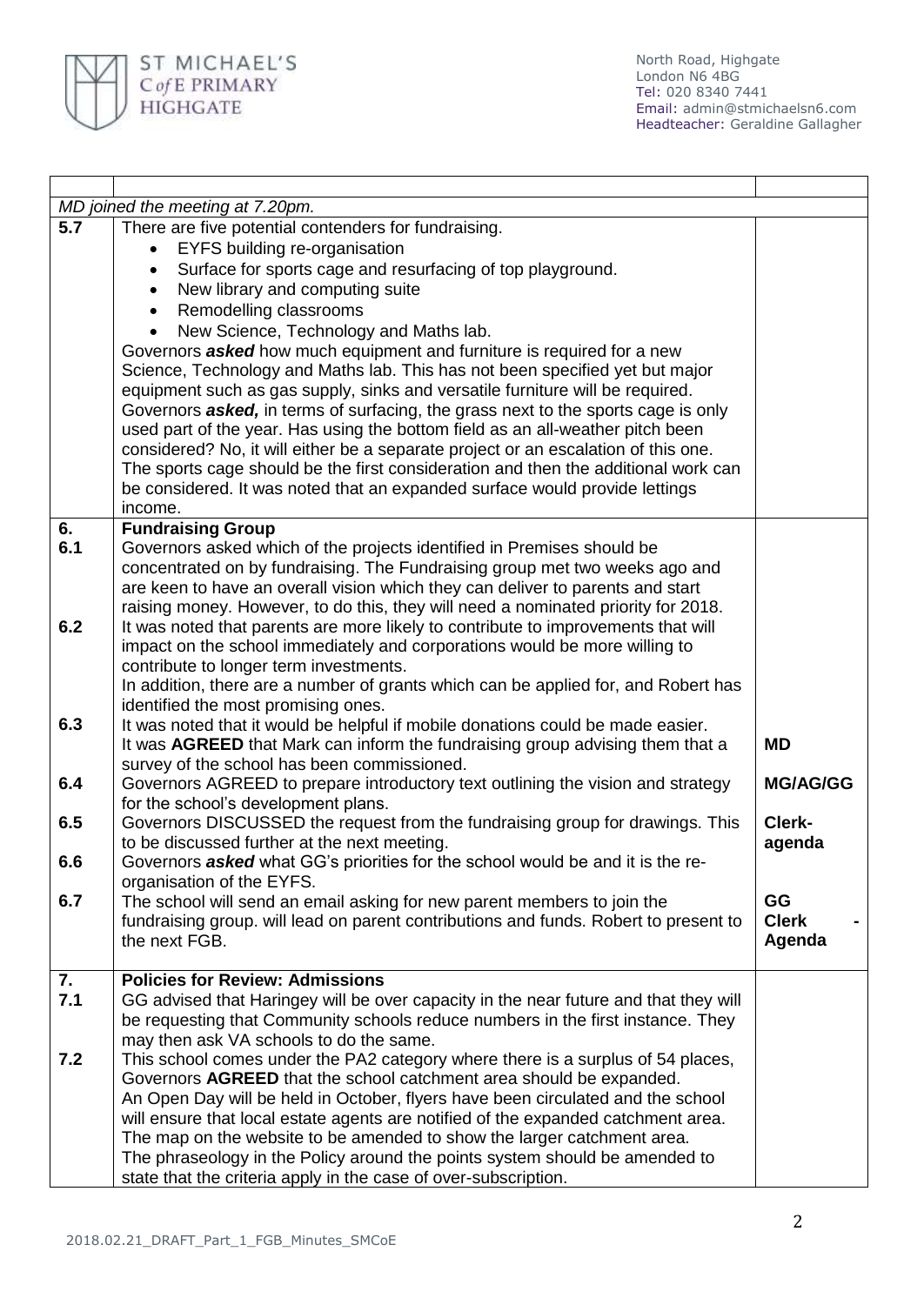

| MD joined the meeting at 7.20pm. |                                                                                      |                 |  |  |
|----------------------------------|--------------------------------------------------------------------------------------|-----------------|--|--|
| $\overline{5.7}$                 | There are five potential contenders for fundraising.                                 |                 |  |  |
|                                  | EYFS building re-organisation<br>$\bullet$                                           |                 |  |  |
|                                  | Surface for sports cage and resurfacing of top playground.<br>$\bullet$              |                 |  |  |
|                                  | New library and computing suite<br>$\bullet$                                         |                 |  |  |
|                                  | Remodelling classrooms<br>$\bullet$                                                  |                 |  |  |
|                                  | New Science, Technology and Maths lab.                                               |                 |  |  |
|                                  | Governors <b>asked</b> how much equipment and furniture is required for a new        |                 |  |  |
|                                  | Science, Technology and Maths lab. This has not been specified yet but major         |                 |  |  |
|                                  | equipment such as gas supply, sinks and versatile furniture will be required.        |                 |  |  |
|                                  | Governors asked, in terms of surfacing, the grass next to the sports cage is only    |                 |  |  |
|                                  | used part of the year. Has using the bottom field as an all-weather pitch been       |                 |  |  |
|                                  | considered? No, it will either be a separate project or an escalation of this one.   |                 |  |  |
|                                  | The sports cage should be the first consideration and then the additional work can   |                 |  |  |
|                                  | be considered. It was noted that an expanded surface would provide lettings          |                 |  |  |
|                                  | income.                                                                              |                 |  |  |
| 6.                               | <b>Fundraising Group</b>                                                             |                 |  |  |
| 6.1                              | Governors asked which of the projects identified in Premises should be               |                 |  |  |
|                                  | concentrated on by fundraising. The Fundraising group met two weeks ago and          |                 |  |  |
|                                  | are keen to have an overall vision which they can deliver to parents and start       |                 |  |  |
|                                  | raising money. However, to do this, they will need a nominated priority for 2018.    |                 |  |  |
| 6.2                              | It was noted that parents are more likely to contribute to improvements that will    |                 |  |  |
|                                  | impact on the school immediately and corporations would be more willing to           |                 |  |  |
|                                  | contribute to longer term investments.                                               |                 |  |  |
|                                  | In addition, there are a number of grants which can be applied for, and Robert has   |                 |  |  |
|                                  | identified the most promising ones.                                                  |                 |  |  |
| 6.3                              | It was noted that it would be helpful if mobile donations could be made easier.      |                 |  |  |
|                                  | It was AGREED that Mark can inform the fundraising group advising them that a        | <b>MD</b>       |  |  |
|                                  | survey of the school has been commissioned.                                          |                 |  |  |
| 6.4                              | Governors AGREED to prepare introductory text outlining the vision and strategy      | <b>MG/AG/GG</b> |  |  |
|                                  | for the school's development plans.                                                  |                 |  |  |
| 6.5                              | Governors DISCUSSED the request from the fundraising group for drawings. This        | Clerk-          |  |  |
|                                  | to be discussed further at the next meeting.                                         | agenda          |  |  |
| 6.6                              | Governors asked what GG's priorities for the school would be and it is the re-       |                 |  |  |
|                                  | organisation of the EYFS.                                                            |                 |  |  |
| 6.7                              | The school will send an email asking for new parent members to join the              | GG              |  |  |
|                                  | fundraising group. will lead on parent contributions and funds. Robert to present to | <b>Clerk</b>    |  |  |
|                                  | the next FGB.                                                                        | Agenda          |  |  |
|                                  |                                                                                      |                 |  |  |
| 7.                               | <b>Policies for Review: Admissions</b>                                               |                 |  |  |
| 7.1                              | GG advised that Haringey will be over capacity in the near future and that they will |                 |  |  |
|                                  | be requesting that Community schools reduce numbers in the first instance. They      |                 |  |  |
|                                  | may then ask VA schools to do the same.                                              |                 |  |  |
| 7.2                              | This school comes under the PA2 category where there is a surplus of 54 places,      |                 |  |  |
|                                  | Governors AGREED that the school catchment area should be expanded.                  |                 |  |  |
|                                  | An Open Day will be held in October, flyers have been circulated and the school      |                 |  |  |
|                                  | will ensure that local estate agents are notified of the expanded catchment area.    |                 |  |  |
|                                  | The map on the website to be amended to show the larger catchment area.              |                 |  |  |
|                                  | The phraseology in the Policy around the points system should be amended to          |                 |  |  |
|                                  | state that the criteria apply in the case of over-subscription.                      |                 |  |  |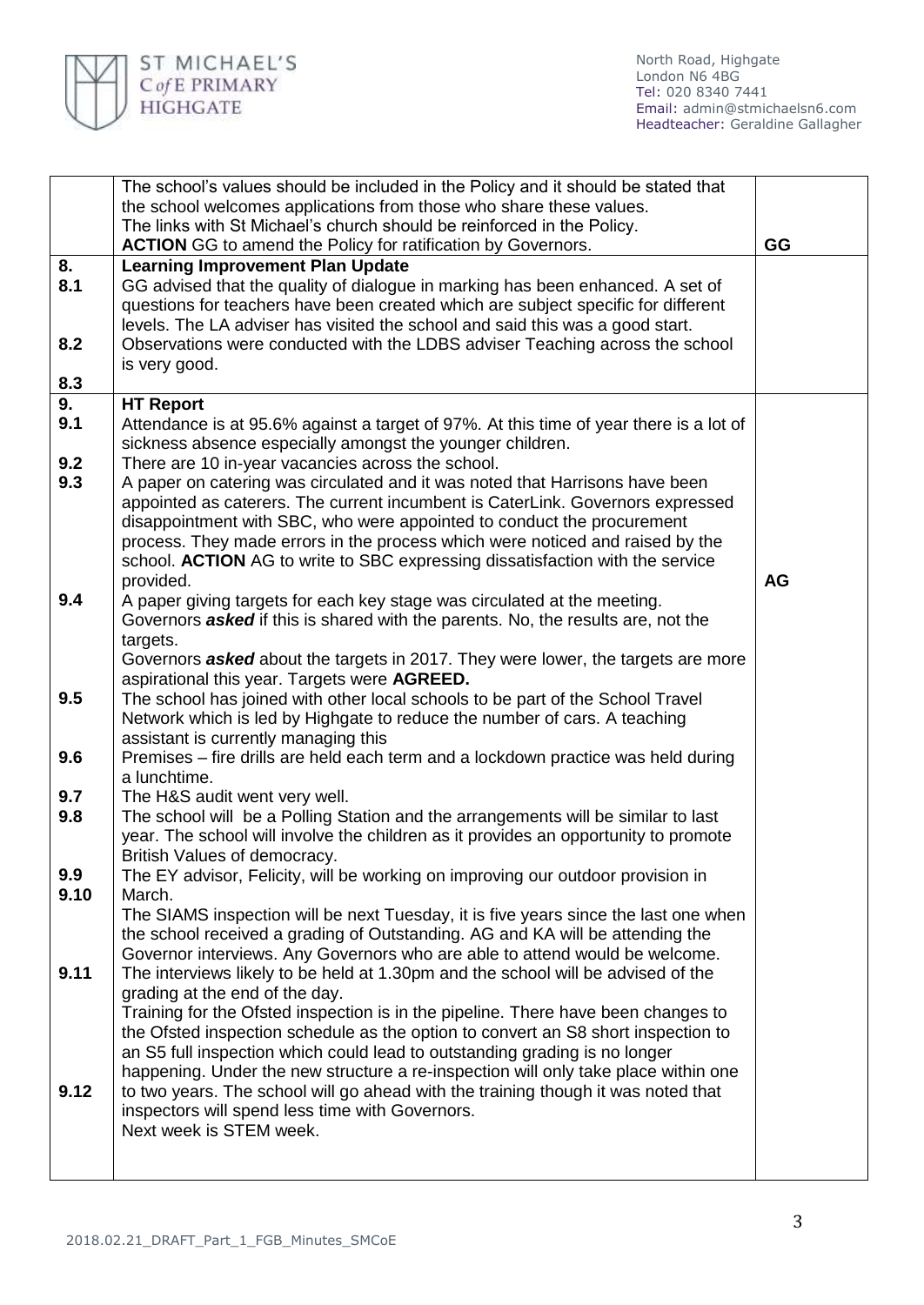

|      | The school's values should be included in the Policy and it should be stated that                                                                            |           |
|------|--------------------------------------------------------------------------------------------------------------------------------------------------------------|-----------|
|      | the school welcomes applications from those who share these values.                                                                                          |           |
|      | The links with St Michael's church should be reinforced in the Policy.                                                                                       | GG        |
| 8.   | <b>ACTION</b> GG to amend the Policy for ratification by Governors.<br><b>Learning Improvement Plan Update</b>                                               |           |
| 8.1  | GG advised that the quality of dialogue in marking has been enhanced. A set of                                                                               |           |
|      | questions for teachers have been created which are subject specific for different                                                                            |           |
|      | levels. The LA adviser has visited the school and said this was a good start.                                                                                |           |
| 8.2  | Observations were conducted with the LDBS adviser Teaching across the school                                                                                 |           |
|      | is very good.                                                                                                                                                |           |
| 8.3  |                                                                                                                                                              |           |
| 9.   | <b>HT Report</b>                                                                                                                                             |           |
| 9.1  | Attendance is at 95.6% against a target of 97%. At this time of year there is a lot of                                                                       |           |
|      | sickness absence especially amongst the younger children.                                                                                                    |           |
| 9.2  | There are 10 in-year vacancies across the school.                                                                                                            |           |
| 9.3  | A paper on catering was circulated and it was noted that Harrisons have been                                                                                 |           |
|      | appointed as caterers. The current incumbent is CaterLink. Governors expressed                                                                               |           |
|      | disappointment with SBC, who were appointed to conduct the procurement                                                                                       |           |
|      | process. They made errors in the process which were noticed and raised by the                                                                                |           |
|      | school. ACTION AG to write to SBC expressing dissatisfaction with the service                                                                                |           |
|      | provided.                                                                                                                                                    | <b>AG</b> |
| 9.4  | A paper giving targets for each key stage was circulated at the meeting.                                                                                     |           |
|      | Governors <b>asked</b> if this is shared with the parents. No, the results are, not the                                                                      |           |
|      | targets.                                                                                                                                                     |           |
|      | Governors <b>asked</b> about the targets in 2017. They were lower, the targets are more<br>aspirational this year. Targets were AGREED.                      |           |
| 9.5  | The school has joined with other local schools to be part of the School Travel                                                                               |           |
|      | Network which is led by Highgate to reduce the number of cars. A teaching                                                                                    |           |
|      | assistant is currently managing this                                                                                                                         |           |
| 9.6  | Premises – fire drills are held each term and a lockdown practice was held during                                                                            |           |
|      | a lunchtime.                                                                                                                                                 |           |
| 9.7  | The H&S audit went very well.                                                                                                                                |           |
| 9.8  | The school will be a Polling Station and the arrangements will be similar to last                                                                            |           |
|      | year. The school will involve the children as it provides an opportunity to promote                                                                          |           |
|      | British Values of democracy.                                                                                                                                 |           |
| 9.9  | The EY advisor, Felicity, will be working on improving our outdoor provision in                                                                              |           |
| 9.10 | March.                                                                                                                                                       |           |
|      | The SIAMS inspection will be next Tuesday, it is five years since the last one when                                                                          |           |
|      | the school received a grading of Outstanding. AG and KA will be attending the<br>Governor interviews. Any Governors who are able to attend would be welcome. |           |
| 9.11 | The interviews likely to be held at 1.30pm and the school will be advised of the                                                                             |           |
|      | grading at the end of the day.                                                                                                                               |           |
|      | Training for the Ofsted inspection is in the pipeline. There have been changes to                                                                            |           |
|      | the Ofsted inspection schedule as the option to convert an S8 short inspection to                                                                            |           |
|      | an S5 full inspection which could lead to outstanding grading is no longer                                                                                   |           |
|      | happening. Under the new structure a re-inspection will only take place within one                                                                           |           |
| 9.12 | to two years. The school will go ahead with the training though it was noted that                                                                            |           |
|      | inspectors will spend less time with Governors.                                                                                                              |           |
|      | Next week is STEM week.                                                                                                                                      |           |
|      |                                                                                                                                                              |           |
|      |                                                                                                                                                              |           |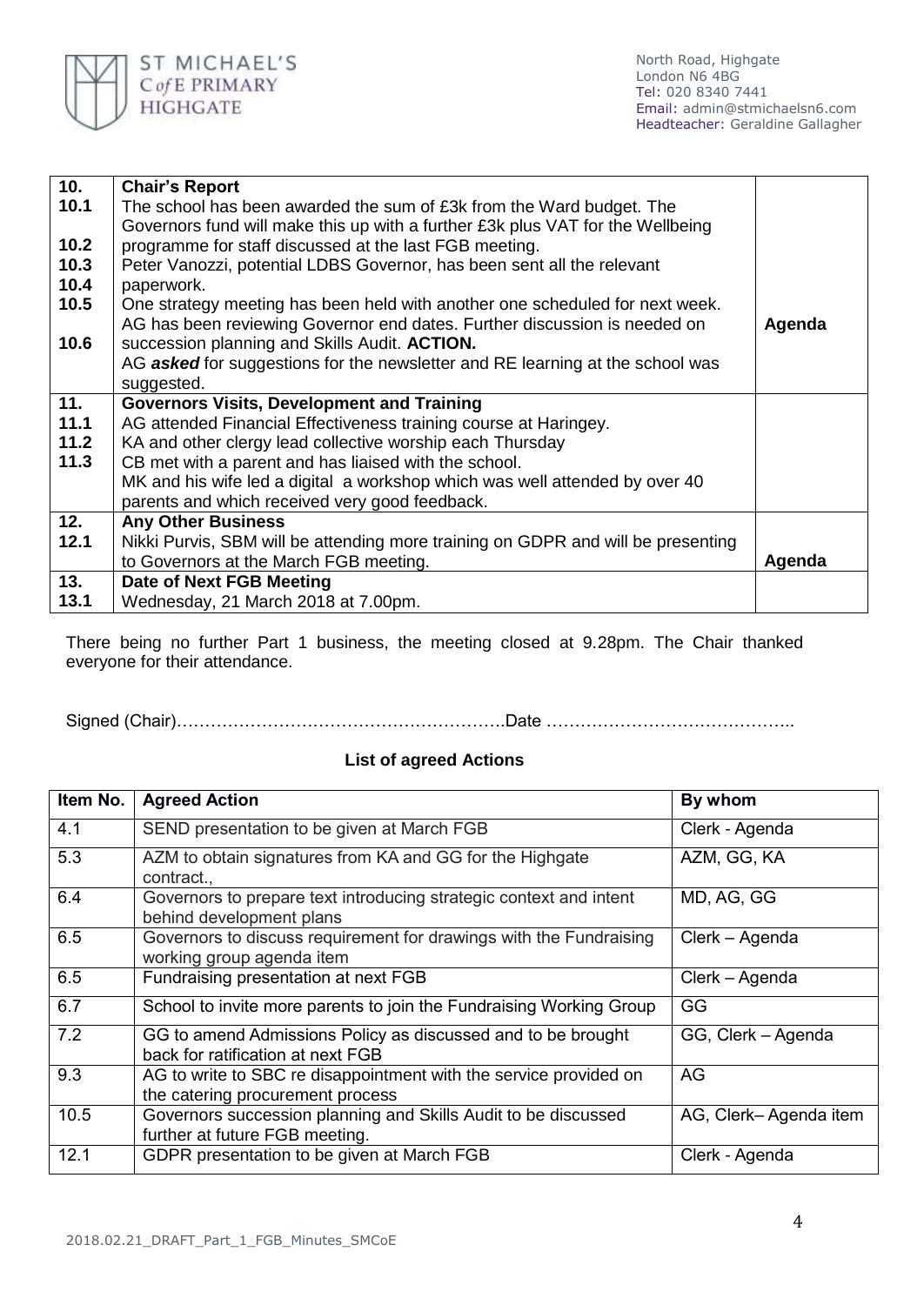

| 10.  | <b>Chair's Report</b>                                                            |        |
|------|----------------------------------------------------------------------------------|--------|
| 10.1 | The school has been awarded the sum of £3k from the Ward budget. The             |        |
|      | Governors fund will make this up with a further £3k plus VAT for the Wellbeing   |        |
| 10.2 | programme for staff discussed at the last FGB meeting.                           |        |
| 10.3 | Peter Vanozzi, potential LDBS Governor, has been sent all the relevant           |        |
| 10.4 | paperwork.                                                                       |        |
| 10.5 | One strategy meeting has been held with another one scheduled for next week.     |        |
|      | AG has been reviewing Governor end dates. Further discussion is needed on        | Agenda |
| 10.6 | succession planning and Skills Audit. ACTION.                                    |        |
|      | AG asked for suggestions for the newsletter and RE learning at the school was    |        |
|      | suggested.                                                                       |        |
| 11.  | <b>Governors Visits, Development and Training</b>                                |        |
| 11.1 | AG attended Financial Effectiveness training course at Haringey.                 |        |
| 11.2 | KA and other clergy lead collective worship each Thursday                        |        |
| 11.3 | CB met with a parent and has liaised with the school.                            |        |
|      | MK and his wife led a digital a workshop which was well attended by over 40      |        |
|      | parents and which received very good feedback.                                   |        |
| 12.  | <b>Any Other Business</b>                                                        |        |
| 12.1 | Nikki Purvis, SBM will be attending more training on GDPR and will be presenting |        |
|      | to Governors at the March FGB meeting.                                           | Agenda |
| 13.  | <b>Date of Next FGB Meeting</b>                                                  |        |
| 13.1 | Wednesday, 21 March 2018 at 7.00pm.                                              |        |

There being no further Part 1 business, the meeting closed at 9.28pm. The Chair thanked everyone for their attendance.

Signed (Chair)………………………………………………….Date ……………………………………..

## **List of agreed Actions**

| Item No. | <b>Agreed Action</b>                                                                                  | By whom               |
|----------|-------------------------------------------------------------------------------------------------------|-----------------------|
| 4.1      | SEND presentation to be given at March FGB                                                            | Clerk - Agenda        |
| 5.3      | AZM to obtain signatures from KA and GG for the Highgate<br>contract.,                                | AZM, GG, KA           |
| 6.4      | Governors to prepare text introducing strategic context and intent<br>behind development plans        | MD, AG, GG            |
| 6.5      | Governors to discuss requirement for drawings with the Fundraising<br>working group agenda item       | Clerk – Agenda        |
| 6.5      | Fundraising presentation at next FGB                                                                  | Clerk - Agenda        |
| 6.7      | School to invite more parents to join the Fundraising Working Group                                   | GG                    |
| 7.2      | GG to amend Admissions Policy as discussed and to be brought<br>back for ratification at next FGB     | GG, Clerk - Agenda    |
| 9.3      | AG to write to SBC re disappointment with the service provided on<br>the catering procurement process | AG                    |
| 10.5     | Governors succession planning and Skills Audit to be discussed<br>further at future FGB meeting.      | AG, Clerk-Agenda item |
| 12.1     | GDPR presentation to be given at March FGB                                                            | Clerk - Agenda        |